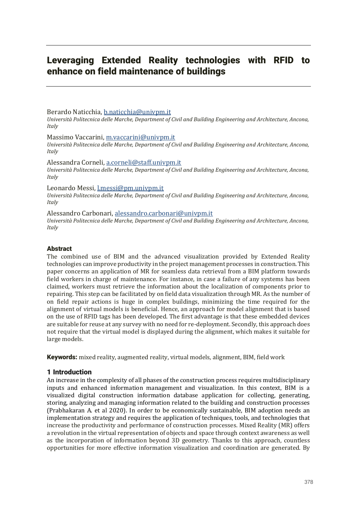# Leveraging Extended Reality technologies with RFID to enhance on field maintenance of buildings

## Berardo Naticchia, b.naticchia@univpm.it

*Università Politecnica delle Marche, Department of Civil and Building Engineering and Architecture, Ancona, Italy*

#### Massimo Vaccarini, m.vaccarini@univpm.it

*Università Politecnica delle Marche, Department of Civil and Building Engineering and Architecture, Ancona, Italy*

#### Alessandra Corneli, a.corneli@staff.univpm.it *Università Politecnica delle Marche, Department of Civil and Building Engineering and Architecture, Ancona, Italy*

## Leonardo Messi, l.messi@pm.univpm.it

*Università Politecnica delle Marche, Department of Civil and Building Engineering and Architecture, Ancona, Italy*

Alessandro Carbonari, alessandro.carbonari@univpm.it *Università Politecnica delle Marche, Department of Civil and Building Engineering and Architecture, Ancona, Italy*

## Abstract

The combined use of BIM and the advanced visualization provided by Extended Reality technologies can improve productivity in the project management processes in construction. This paper concerns an application of MR for seamless data retrieval from a BIM platform towards field workers in charge of maintenance. For instance, in case a failure of any systems has been claimed, workers must retrieve the information about the localization of components prior to repairing. This step can be facilitated by on field data visualization through MR. As the number of on field repair actions is huge in complex buildings, minimizing the time required for the alignment of virtual models is beneficial. Hence, an approach for model alignment that is based on the use of RFID tags has been developed. The first advantage is that these embedded devices are suitable for reuse at any survey with no need for re-deployment. Secondly, this approach does not require that the virtual model is displayed during the alignment, which makes it suitable for large models.

Keywords: mixed reality, augmented reality, virtual models, alignment, BIM, field work

## 1 Introduction

An increase in the complexity of all phases of the construction process requires multidisciplinary inputs and enhanced information management and visualization. In this context, BIM is a visualized digital construction information database application for collecting, generating, storing, analyzing and managing information related to the building and construction processes (Prabhakaran A. et al 2020). In order to be economically sustainable, BIM adoption needs an implementation strategy and requires the application of techniques, tools, and technologies that increase the productivity and performance of construction processes. Mixed Reality (MR) offers a revolution in the virtual representation of objects and space through context awareness as well as the incorporation of information beyond 3D geometry. Thanks to this approach, countless opportunities for more effective information visualization and coordination are generated. By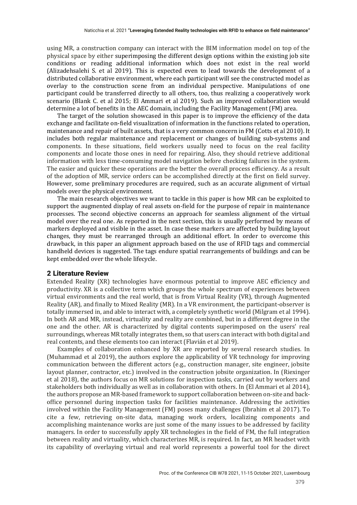using MR, a construction company can interact with the BIM information model on top of the physical space by either superimposing the different design options within the existing job site conditions or reading additional information which does not exist in the real world (Alizadehsalehi S. et al 2019). This is expected even to lead towards the development of a distributed collaborative environment, where each participant will see the constructed model as overlay to the construction scene from an individual perspective. Manipulations of one participant could be transferred directly to all others, too, thus realizing a cooperatively work scenario (Blank C. et al 2015; El Ammari et al 2019). Such an improved collaboration would determine a lot of benefits in the AEC domain, including the Facility Management (FM) area.

The target of the solution showcased in this paper is to improve the efficiency of the data exchange and facilitate on-field visualization of information in the functions related to operation, maintenance and repair of built assets, that is a very common concern in FM (Cotts et al 2010). It includes both regular maintenance and replacement or changes of building sub-systems and components. In these situations, field workers usually need to focus on the real facility components and locate those ones in need for repairing. Also, they should retrieve additional information with less time-consuming model navigation before checking failures in the system. The easier and quicker these operations are the better the overall process efficiency. As a result of the adoption of MR, service orders can be accomplished directly at the first on field survey. However, some preliminary procedures are required, such as an accurate alignment of virtual models over the physical environment.

The main research objectives we want to tackle in this paper is how MR can be exploited to support the augmented display of real assets on-field for the purpose of repair in maintenance processes. The second objective concerns an approach for seamless alignment of the virtual model over the real one. As reported in the next section, this is usually performed by means of markers deployed and visible in the asset. In case these markers are affected by building layout changes, they must be rearranged through an additional effort. In order to overcome this drawback, in this paper an alignment approach based on the use of RFID tags and commercial handheld devices is suggested. The tags endure spatial rearrangements of buildings and can be kept embedded over the whole lifecycle.

#### 2 Literature Review

Extended Reality (XR) technologies have enormous potential to improve AEC efficiency and productivity. XR is a collective term which groups the whole spectrum of experiences between virtual environments and the real world, that is from Virtual Reality (VR), through Augmented Reality (AR), and finally to Mixed Reality (MR). In a VR environment, the participant-observer is totally immersed in, and able to interact with, a completely synthetic world (Milgram et al 1994). In both AR and MR, instead, virtuality and reality are combined, but in a different degree in the one and the other. AR is characterized by digital contents superimposed on the users' real surroundings, whereas MR totally integrates them, so that users can interact with both digital and real contents, and these elements too can interact (Flavián et al 2019).

Examples of collaboration enhanced by XR are reported by several research studies. In (Muhammad et al 2019), the authors explore the applicability of VR technology for improving communication between the different actors (e.g., construction manager, site engineer, jobsite layout planner, contractor, etc. involved in the construction jobsite organization. In (Riexinger) et al 2018), the authors focus on MR solutions for inspection tasks, carried out by workers and stakeholders both individually as well as in collaboration with others. In (El Ammari et al 2014), the authors propose an MR-based framework to support collaboration between on-site and backoffice personnel during inspection tasks for facilities maintenance. Addressing the activities involved within the Facility Management (FM) poses many challenges (Ibrahim et al 2017). To cite a few, retrieving on-site data, managing work orders, localizing components and accomplishing maintenance works are just some of the many issues to be addressed by facility managers. In order to successfully apply XR technologies in the field of FM, the full integration between reality and virtuality, which characterizes MR, is required. In fact, an MR headset with its capability of overlaying virtual and real world represents a powerful tool for the direct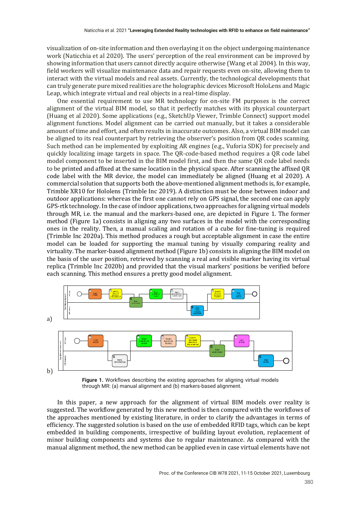visualization of on-site information and then overlaying it on the object undergoing maintenance work (Naticchia et al 2020). The users' perception of the real environment can be improved by showing information that users cannot directly acquire otherwise (Wang et al 2004). In this way, field workers will visualize maintenance data and repair requests even on-site, allowing them to interact with the virtual models and real assets. Currently, the technological developments that can truly generate pure mixed realities are the holographic devices Microsoft HoloLens and Magic Leap, which integrate virtual and real objects in a real-time display.

One essential requirement to use MR technology for on-site FM purposes is the correct alignment of the virtual BIM model, so that it perfectly matches with its physical counterpart (Huang et al 2020). Some applications (e.g., SketchUp Viewer, Trimble Connect) support model alignment functions. Model alignment can be carried out manually, but it takes a considerable amount of time and effort, and often results in inaccurate outcomes. Also, a virtual BIM model can be aligned to its real counterpart by retrieving the observer's position from QR codes scanning. Such method can be implemented by exploiting AR engines (e.g., Vuforia SDK) for precisely and quickly localizing image targets in space. The QR-code-based method requires a QR code label model component to be inserted in the BIM model first, and then the same OR code label needs to be printed and affixed at the same location in the physical space. After scanning the affixed QR code label with the MR device, the model can immediately be aligned (Huang et al 2020). A commercial solution that supports both the above-mentioned alignment methods is, for example, Trimble XR10 for Hololens (Trimble Inc 2019). A distinction must be done between indoor and outdoor applications: whereas the first one cannot rely on GPS signal, the second one can apply GPS-rtk technology. In the case of indoor applications, two approaches for aligning virtual models through MR, i.e. the manual and the markers-based one, are depicted in Figure 1. The former method (Figure 1a) consists in aligning any two surfaces in the model with the corresponding ones in the reality. Then, a manual scaling and rotation of a cube for fine-tuning is required (Trimble Inc 2020a). This method produces a rough but acceptable alignment in case the entire model can be loaded for supporting the manual tuning by visually comparing reality and virtuality. The marker-based alignment method (Figure 1b) consists in aligning the BIM model on the basis of the user position, retrieved by scanning a real and visible marker having its virtual replica (Trimble Inc 2020b) and provided that the visual markers' positions be verified before each scanning. This method ensures a pretty good model alignment.





In this paper, a new approach for the alignment of virtual BIM models over reality is suggested. The workflow generated by this new method is then compared with the workflows of the approaches mentioned by existing literature, in order to clarify the advantages in terms of efficiency. The suggested solution is based on the use of embedded RFID tags, which can be kept embedded in building components, irrespective of building layout evolution, replacement of minor building components and systems due to regular maintenance. As compared with the manual alignment method, the new method can be applied even in case virtual elements have not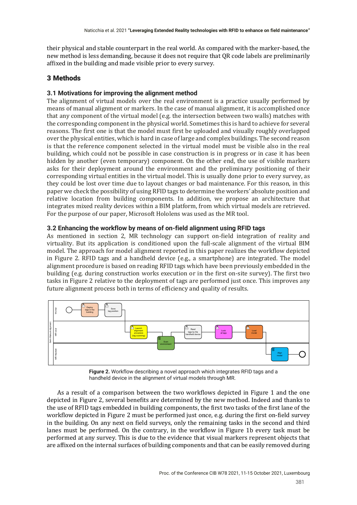their physical and stable counterpart in the real world. As compared with the marker-based, the new method is less demanding, because it does not require that QR code labels are preliminarily affixed in the building and made visible prior to every survey.

# 3 Methods

## **3.1 Motivations for improving the alignment method**

The alignment of virtual models over the real environment is a practice usually performed by means of manual alignment or markers. In the case of manual alignment, it is accomplished once that any component of the virtual model (e.g. the intersection between two walls) matches with the corresponding component in the physical world. Sometimes this is hard to achieve for several reasons. The first one is that the model must first be uploaded and visually roughly overlapped over the physical entities, which is hard in case of large and complex buildings. The second reason is that the reference component selected in the virtual model must be visible also in the real building, which could not be possible in case construction is in progress or in case it has been hidden by another (even temporary) component. On the other end, the use of visible markers asks for their deployment around the environment and the preliminary positioning of their corresponding virtual entities in the virtual model. This is usually done prior to every survey, as they could be lost over time due to layout changes or bad maintenance. For this reason, in this paper we check the possibility of using RFID tags to determine the workers' absolute position and relative location from building components. In addition, we propose an architecture that integrates mixed reality devices within a BIM platform, from which virtual models are retrieved. For the purpose of our paper, Microsoft Hololens was used as the MR tool.

## **3.2 Enhancing the workflow by means of on-field alignment using RFID tags**

As mentioned in section 2, MR technology can support on-field integration of reality and virtuality. But its application is conditioned upon the full-scale alignment of the virtual BIM model. The approach for model alignment reported in this paper realizes the workflow depicted in Figure 2. RFID tags and a handheld device  $(e.g., a smartphone)$  are integrated. The model alignment procedure is based on reading RFID tags which have been previously embedded in the building (e.g. during construction works execution or in the first on-site survey). The first two tasks in Figure 2 relative to the deployment of tags are performed just once. This improves any future alignment process both in terms of efficiency and quality of results.



**Figure 2.** Workflow describing a novel approach which integrates RFID tags and a handheld device in the alignment of virtual models through MR.

As a result of a comparison between the two workflows depicted in Figure 1 and the one depicted in Figure 2, several benefits are determined by the new method. Indeed and thanks to the use of RFID tags embedded in building components, the first two tasks of the first lane of the workflow depicted in Figure 2 must be performed just once, e.g. during the first on-field survey in the building. On any next on field surveys, only the remaining tasks in the second and third lanes must be performed. On the contrary, in the workflow in Figure 1b every task must be performed at any survey. This is due to the evidence that visual markers represent objects that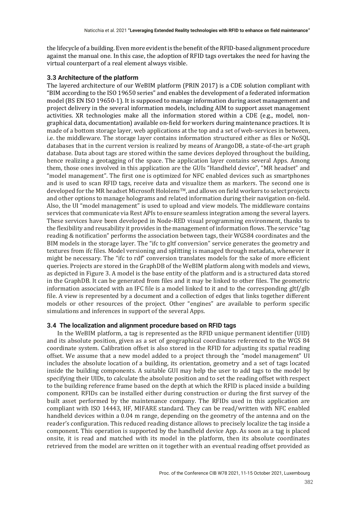the lifecycle of a building. Even more evident is the benefit of the RFID-based alignment procedure against the manual one. In this case, the adoption of RFID tags overtakes the need for having the virtual counterpart of a real element always visible.

#### **3.3 Architecture of the platform**

The layered architecture of our WeBIM platform (PRIN 2017) is a CDE solution compliant with "BIM according to the ISO 19650 series" and enables the development of a federated information model (BS EN ISO 19650-1). It is supposed to manage information during asset management and project delivery in the several information models, including AIM to support asset management activities. XR technologies make all the information stored within a CDE (e.g., model, nongraphical data, documentation) available on-field for workers during maintenance practices. It is made of a bottom storage layer, web applications at the top and a set of web-services in between, i.e. the middleware. The storage layer contains information structured either as files or NoSQL databases that in the current version is realized by means of ArangoDB, a state-of-the-art graph database. Data about tags are stored within the same devices deployed throughout the building, hence realizing a geotagging of the space. The application layer contains several Apps. Among them, those ones involved in this application are the GUIs "Handheld device", "MR headset" and "model management". The first one is optimized for NFC enabled devices such as smartphones and is used to scan RFID tags, receive data and visualize them as markers. The second one is developed for the MR headset Microsoft Hololens™, and allows on field workers to select projects and other options to manage holograms and related information during their navigation on-field. Also, the UI "model management" is used to upload and view models. The middleware contains services that communicate via Rest APIs to ensure seamless integration among the several layers. These services have been developed in Node-RED visual programming environment, thanks to the flexibility and reusability it provides in the management of information flows. The service "tag reading & notification" performs the association between tags, their WGS84 coordinates and the BIM models in the storage layer. The "ifc to gltf conversion" service generates the geometry and textures from ifc files. Model versioning and splitting is managed through metadata, whenever it might be necessary. The "ifc to rdf" conversion translates models for the sake of more efficient queries. Projects are stored in the GraphDB of the WeBIM platform along with models and views, as depicted in Figure 3. A model is the base entity of the platform and is a structured data stored in the GraphDB. It can be generated from files and it may be linked to other files. The geometric information associated with an IFC file is a model linked to it and to the corresponding  $g$ ltf/ $g$ lb file. A view is represented by a document and a collection of edges that links together different models or other resources of the project. Other "engines" are available to perform specific simulations and inferences in support of the several Apps.

## **3.4 The localization and alignment procedure based on RFID tags**

In the WeBIM platform, a tag is represented as the RFID unique permanent identifier (UID) and its absolute position, given as a set of geographical coordinates referenced to the WGS 84 coordinate system. Calibration offset is also stored in the RFID for adjusting its spatial reading offset. We assume that a new model added to a project through the "model management" UI includes the absolute location of a building, its orientation, geometry and a set of tags located inside the building components. A suitable GUI may help the user to add tags to the model by specifying their UIDs, to calculate the absolute position and to set the reading offset with respect to the building reference frame based on the depth at which the RFID is placed inside a building component. RFIDs can be installed either during construction or during the first survey of the built asset performed by the maintenance company. The RFIDs used in this application are compliant with ISO 14443, HF, MIFARE standard. They can be read/written with NFC enabled handheld devices within a 0.04 m range, depending on the geometry of the antenna and on the reader's configuration. This reduced reading distance allows to precisely localize the tag inside a component. This operation is supported by the handheld device App. As soon as a tag is placed onsite, it is read and matched with its model in the platform, then its absolute coordinates retrieved from the model are written on it together with an eventual reading offset provided as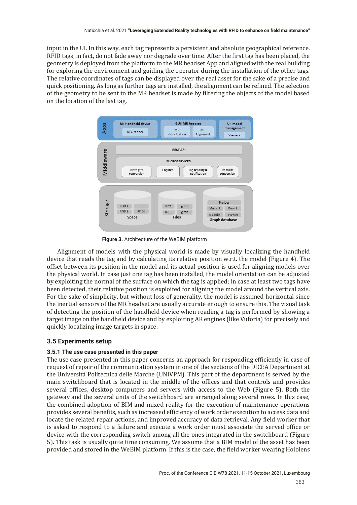input in the UI. In this way, each tag represents a persistent and absolute geographical reference. RFID tags, in fact, do not fade away nor degrade over time. After the first tag has been placed, the geometry is deployed from the platform to the MR headset App and aligned with the real building for exploring the environment and guiding the operator during the installation of the other tags. The relative coordinates of tags can be displayed over the real asset for the sake of a precise and quick positioning. As long as further tags are installed, the alignment can be refined. The selection of the geometry to be sent to the MR headset is made by filtering the objects of the model based on the location of the last tag.



**Figure 3.** Architecture of the WeBIM platform

Alignment of models with the physical world is made by visually localizing the handheld device that reads the tag and by calculating its relative position w.r.t. the model (Figure 4). The offset between its position in the model and its actual position is used for aligning models over the physical world. In case just one tag has been installed, the model orientation can be adjusted by exploiting the normal of the surface on which the tag is applied; in case at least two tags have been detected, their relative position is exploited for aligning the model around the vertical axis. For the sake of simplicity, but without loss of generality, the model is assumed horizontal since the inertial sensors of the MR headset are usually accurate enough to ensure this. The visual task of detecting the position of the handheld device when reading a tag is performed by showing a target image on the handheld device and by exploiting AR engines (like Vuforia) for precisely and quickly localizing image targets in space.

## **3.5 Experiments setup**

## **3.5.1 The use case presented in this paper**

The use case presented in this paper concerns an approach for responding efficiently in case of request of repair of the communication system in one of the sections of the DICEA Department at the Università Politecnica delle Marche (UNIVPM). This part of the department is served by the main switchboard that is located in the middle of the offices and that controls and provides several offices, desktop computers and servers with access to the Web (Figure 5). Both the gateway and the several units of the switchboard are arranged along several rows. In this case, the combined adoption of BIM and mixed reality for the execution of maintenance operations provides several benefits, such as increased efficiency of work order execution to access data and locate the related repair actions, and improved accuracy of data retrieval. Any field worker that is asked to respond to a failure and execute a work order must associate the served office or device with the corresponding switch among all the ones integrated in the switchboard (Figure 5). This task is usually quite time consuming. We assume that a BIM model of the asset has been provided and stored in the WeBIM platform. If this is the case, the field worker wearing Hololens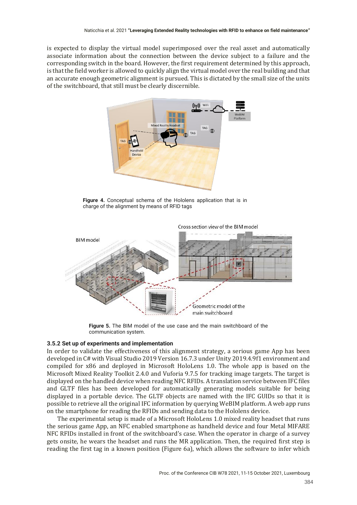is expected to display the virtual model superimposed over the real asset and automatically associate information about the connection between the device subject to a failure and the corresponding switch in the board. However, the first requirement determined by this approach, is that the field worker is allowed to quickly align the virtual model over the real building and that an accurate enough geometric alignment is pursued. This is dictated by the small size of the units of the switchboard, that still must be clearly discernible.



**Figure 4.** Conceptual schema of the Hololens application that is in charge of the alignment by means of RFID tags



Cross section view of the BIM model

**Figure 5.** The BIM model of the use case and the main switchboard of the communication system.

#### **3.5.2 Set up of experiments and implementation**

In order to validate the effectiveness of this alignment strategy, a serious game App has been developed in C# with Visual Studio 2019 Version 16.7.3 under Unity 2019.4.9f1 environment and compiled for x86 and deployed in Microsoft HoloLens 1.0. The whole app is based on the Microsoft Mixed Reality Toolkit 2.4.0 and Vuforia 9.7.5 for tracking image targets. The target is displayed on the handled device when reading NFC RFIDs. A translation service between IFC files and GLTF files has been developed for automatically generating models suitable for being displayed in a portable device. The GLTF objects are named with the IFC GUIDs so that it is possible to retrieve all the original IFC information by querying WeBIM platform. A web app runs on the smartphone for reading the RFIDs and sending data to the Hololens device.

The experimental setup is made of a Microsoft HoloLens 1.0 mixed reality headset that runs the serious game App, an NFC enabled smartphone as handheld device and four Metal MIFARE NFC RFIDs installed in front of the switchboard's case. When the operator in charge of a survey gets onsite, he wears the headset and runs the MR application. Then, the required first step is reading the first tag in a known position (Figure 6a), which allows the software to infer which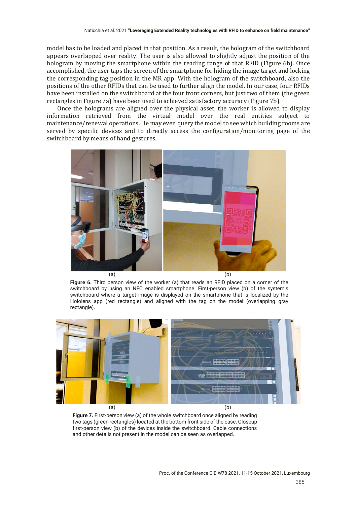model has to be loaded and placed in that position. As a result, the hologram of the switchboard appears overlapped over reality. The user is also allowed to slightly adjust the position of the hologram by moving the smartphone within the reading range of that RFID (Figure 6b). Once accomplished, the user taps the screen of the smartphone for hiding the image target and locking the corresponding tag position in the MR app. With the hologram of the switchboard, also the positions of the other RFIDs that can be used to further align the model. In our case, four RFIDs have been installed on the switchboard at the four front corners, but just two of them (the green rectangles in Figure 7a) have been used to achieved satisfactory accuracy (Figure 7b).

Once the holograms are aligned over the physical asset, the worker is allowed to display information retrieved from the virtual model over the real entities subject to maintenance/renewal operations. He may even query the model to see which building rooms are served by specific devices and to directly access the configuration/monitoring page of the switchboard by means of hand gestures.



**Figure 6.** Third person view of the worker (a) that reads an RFID placed on a corner of the switchboard by using an NFC enabled smartphone. First-person view (b) of the system's switchboard where a target image is displayed on the smartphone that is localized by the Hololens app (red rectangle) and aligned with the tag on the model (overlapping gray rectangle).



**Figure 7.** First-person view (a) of the whole switchboard once aligned by reading two tags (green rectangles) located at the bottom front side of the case. Closeup first-person view (b) of the devices inside the switchboard. Cable connections and other details not present in the model can be seen as overlapped.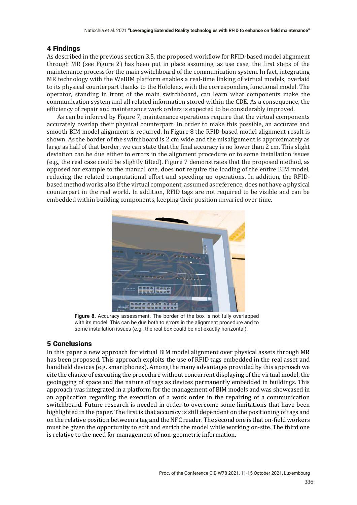## 4 Findings

As described in the previous section 3.5, the proposed workflow for RFID-based model alignment through MR (see Figure 2) has been put in place assuming, as use case, the first steps of the maintenance process for the main switchboard of the communication system. In fact, integrating MR technology with the WeBIM platform enables a real-time linking of virtual models, overlaid to its physical counterpart thanks to the Hololens, with the corresponding functional model. The operator, standing in front of the main switchboard, can learn what components make the communication system and all related information stored within the CDE. As a consequence, the efficiency of repair and maintenance work orders is expected to be considerably improved.

As can be inferred by Figure 7, maintenance operations require that the virtual components accurately overlap their physical counterpart. In order to make this possible, an accurate and smooth BIM model alignment is required. In Figure 8 the RFID-based model alignment result is shown. As the border of the switchboard is 2 cm wide and the misalignment is approximately as large as half of that border, we can state that the final accuracy is no lower than 2 cm. This slight deviation can be due either to errors in the alignment procedure or to some installation issues (e.g., the real case could be slightly tilted). Figure 7 demonstrates that the proposed method, as opposed for example to the manual one, does not require the loading of the entire BIM model, reducing the related computational effort and speeding up operations. In addition, the RFIDbased method works also if the virtual component, assumed as reference, does not have a physical counterpart in the real world. In addition, RFID tags are not required to be visible and can be embedded within building components, keeping their position unvaried over time.



**Figure 8.** Accuracy assessment. The border of the box is not fully overlapped with its model. This can be due both to errors in the alignment procedure and to some installation issues (e.g., the real box could be not exactly horizontal).

## 5 Conclusions

In this paper a new approach for virtual BIM model alignment over physical assets through MR has been proposed. This approach exploits the use of RFID tags embedded in the real asset and handheld devices (e.g. smartphones). Among the many advantages provided by this approach we cite the chance of executing the procedure without concurrent displaying of the virtual model, the geotagging of space and the nature of tags as devices permanently embedded in buildings. This approach was integrated in a platform for the management of BIM models and was showcased in an application regarding the execution of a work order in the repairing of a communication switchboard. Future research is needed in order to overcome some limitations that have been highlighted in the paper. The first is that accuracy is still dependent on the positioning of tags and on the relative position between a tag and the NFC reader. The second one is that on-field workers must be given the opportunity to edit and enrich the model while working on-site. The third one is relative to the need for management of non-geometric information.